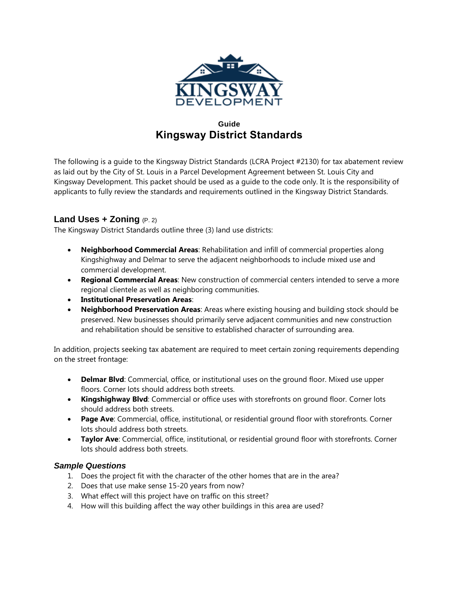

# **Guide Kingsway District Standards**

The following is a guide to the Kingsway District Standards (LCRA Project #2130) for tax abatement review as laid out by the City of St. Louis in a Parcel Development Agreement between St. Louis City and Kingsway Development. This packet should be used as a guide to the code only. It is the responsibility of applicants to fully review the standards and requirements outlined in the Kingsway District Standards.

# **Land Uses + Zoning** (P. 2)

The Kingsway District Standards outline three (3) land use districts:

- **Neighborhood Commercial Areas**: Rehabilitation and infill of commercial properties along Kingshighway and Delmar to serve the adjacent neighborhoods to include mixed use and commercial development.
- **Regional Commercial Areas**: New construction of commercial centers intended to serve a more regional clientele as well as neighboring communities.
- **Institutional Preservation Areas**:
- **Neighborhood Preservation Areas**: Areas where existing housing and building stock should be preserved. New businesses should primarily serve adjacent communities and new construction and rehabilitation should be sensitive to established character of surrounding area.

In addition, projects seeking tax abatement are required to meet certain zoning requirements depending on the street frontage:

- **Delmar Blvd**: Commercial, office, or institutional uses on the ground floor. Mixed use upper floors. Corner lots should address both streets.
- **Kingshighway Blvd**: Commercial or office uses with storefronts on ground floor. Corner lots should address both streets.
- **Page Ave**: Commercial, office, institutional, or residential ground floor with storefronts. Corner lots should address both streets.
- **Taylor Ave**: Commercial, office, institutional, or residential ground floor with storefronts. Corner lots should address both streets.

### *Sample Questions*

- 1. Does the project fit with the character of the other homes that are in the area?
- 2. Does that use make sense 15-20 years from now?
- 3. What effect will this project have on traffic on this street?
- 4. How will this building affect the way other buildings in this area are used?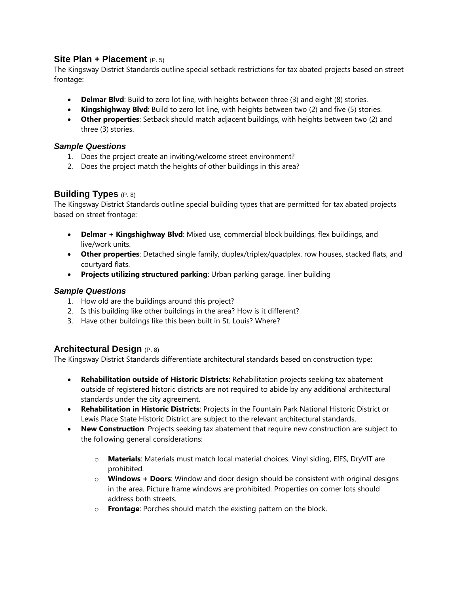## **Site Plan + Placement** (P. 5)

The Kingsway District Standards outline special setback restrictions for tax abated projects based on street frontage:

- **Delmar Blvd**: Build to zero lot line, with heights between three (3) and eight (8) stories.
- **Kingshighway Blvd**: Build to zero lot line, with heights between two (2) and five (5) stories.
- **Other properties**: Setback should match adjacent buildings, with heights between two (2) and three (3) stories.

### *Sample Questions*

- 1. Does the project create an inviting/welcome street environment?
- 2. Does the project match the heights of other buildings in this area?

## **Building Types** (P. 8)

The Kingsway District Standards outline special building types that are permitted for tax abated projects based on street frontage:

- **Delmar + Kingshighway Blvd**: Mixed use, commercial block buildings, flex buildings, and live/work units.
- **Other properties**: Detached single family, duplex/triplex/quadplex, row houses, stacked flats, and courtyard flats.
- **Projects utilizing structured parking**: Urban parking garage, liner building

### *Sample Questions*

- 1. How old are the buildings around this project?
- 2. Is this building like other buildings in the area? How is it different?
- 3. Have other buildings like this been built in St. Louis? Where?

# **Architectural Design** (P. 8)

The Kingsway District Standards differentiate architectural standards based on construction type:

- **Rehabilitation outside of Historic Districts**: Rehabilitation projects seeking tax abatement outside of registered historic districts are not required to abide by any additional architectural standards under the city agreement.
- **Rehabilitation in Historic Districts**: Projects in the Fountain Park National Historic District or Lewis Place State Historic District are subject to the relevant architectural standards.
- **New Construction**: Projects seeking tax abatement that require new construction are subject to the following general considerations:
	- o **Materials**: Materials must match local material choices. Vinyl siding, EIFS, DryVIT are prohibited.
	- o **Windows + Doors**: Window and door design should be consistent with original designs in the area. Picture frame windows are prohibited. Properties on corner lots should address both streets.
	- o **Frontage**: Porches should match the existing pattern on the block.